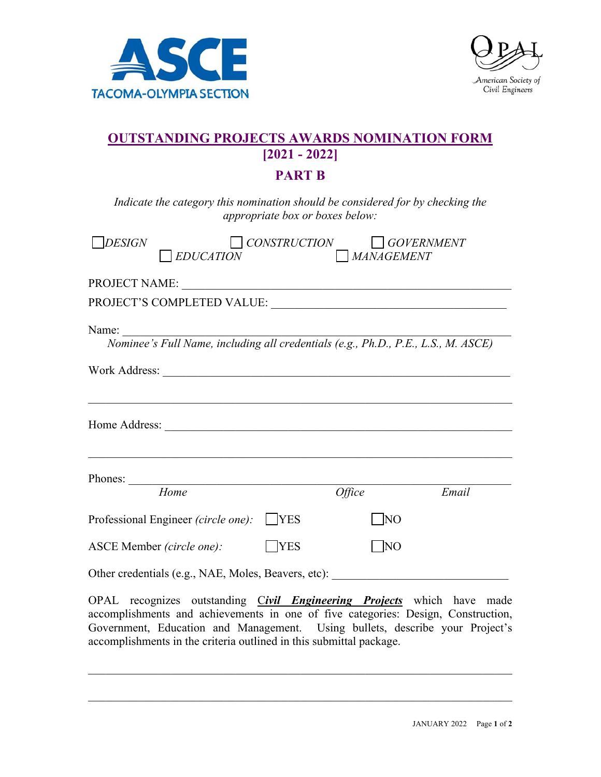



## **OUTSTANDING PROJECTS AWARDS NOMINATION FORM [2021 - 2022]**

## **PART B**

*Indicate the category this nomination should be considered for by checking the appropriate box or boxes below:* 

| <b>DESIGN</b><br><b>EDUCATION</b>                                                          | <i>CONSTRUCTION</i> | $\vert$ $\vert$ MANAGEMENT | <b>GOVERNMENT</b> |
|--------------------------------------------------------------------------------------------|---------------------|----------------------------|-------------------|
| PROJECT NAME:                                                                              |                     |                            |                   |
|                                                                                            |                     |                            |                   |
| Name:<br>Nominee's Full Name, including all credentials (e.g., Ph.D., P.E., L.S., M. ASCE) |                     |                            |                   |
|                                                                                            |                     |                            |                   |
|                                                                                            |                     |                            |                   |
| Home                                                                                       |                     | <i><b>Office</b></i>       | Email             |
| Professional Engineer (circle one):                                                        | <b>YES</b>          | $\overline{N}$             |                   |
| ASCE Member (circle one):                                                                  | <b>YES</b>          | NO                         |                   |

Other credentials (e.g., NAE, Moles, Beavers, etc):

OPAL recognizes outstanding C*ivil Engineering Projects* which have made accomplishments and achievements in one of five categories: Design, Construction, Government, Education and Management. Using bullets, describe your Project's accomplishments in the criteria outlined in this submittal package.

 $\mathcal{L}_\mathcal{L} = \mathcal{L}_\mathcal{L} = \mathcal{L}_\mathcal{L} = \mathcal{L}_\mathcal{L} = \mathcal{L}_\mathcal{L} = \mathcal{L}_\mathcal{L} = \mathcal{L}_\mathcal{L} = \mathcal{L}_\mathcal{L} = \mathcal{L}_\mathcal{L} = \mathcal{L}_\mathcal{L} = \mathcal{L}_\mathcal{L} = \mathcal{L}_\mathcal{L} = \mathcal{L}_\mathcal{L} = \mathcal{L}_\mathcal{L} = \mathcal{L}_\mathcal{L} = \mathcal{L}_\mathcal{L} = \mathcal{L}_\mathcal{L}$